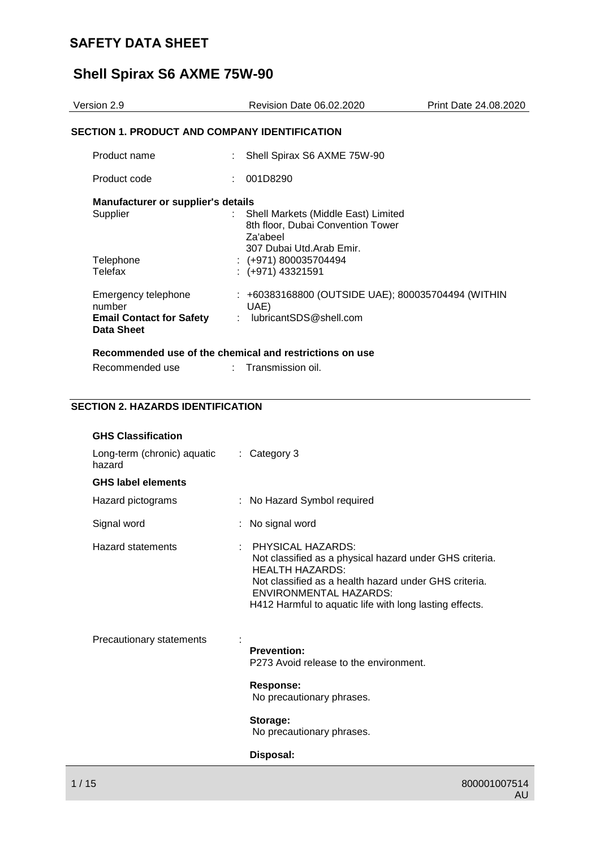# **Shell Spirax S6 AXME 75W-90**

| Version 2.9                                                                    | <b>Revision Date 06.02.2020</b>                                                                                    | Print Date 24.08.2020 |
|--------------------------------------------------------------------------------|--------------------------------------------------------------------------------------------------------------------|-----------------------|
| SECTION 1. PRODUCT AND COMPANY IDENTIFICATION                                  |                                                                                                                    |                       |
| Product name                                                                   | Shell Spirax S6 AXME 75W-90                                                                                        |                       |
| Product code                                                                   | 001D8290                                                                                                           |                       |
| Manufacturer or supplier's details<br>Supplier                                 | : Shell Markets (Middle East) Limited<br>8th floor, Dubai Convention Tower<br>Za'abeel<br>307 Dubai Utd.Arab Emir. |                       |
| Telephone<br>Telefax                                                           | $: (+971) 800035704494$<br>$:(+971)$ 43321591                                                                      |                       |
| Emergency telephone<br>number<br><b>Email Contact for Safety</b><br>Data Sheet | : +60383168800 (OUTSIDE UAE); 800035704494 (WITHIN<br>UAE)<br>: lubricantSDS@shell.com                             |                       |
|                                                                                | Recommended use of the chemical and restrictions on use                                                            |                       |

### **SECTION 2. HAZARDS IDENTIFICATION**

Recommended use : Transmission oil.

| <b>GHS Classification</b>             |                                                                                                                                                                                                                                                                    |
|---------------------------------------|--------------------------------------------------------------------------------------------------------------------------------------------------------------------------------------------------------------------------------------------------------------------|
| Long-term (chronic) aquatic<br>hazard | $\therefore$ Category 3                                                                                                                                                                                                                                            |
| <b>GHS label elements</b>             |                                                                                                                                                                                                                                                                    |
| Hazard pictograms                     | : No Hazard Symbol required                                                                                                                                                                                                                                        |
| Signal word                           | : No signal word                                                                                                                                                                                                                                                   |
| Hazard statements<br>÷                | <b>PHYSICAL HAZARDS:</b><br>Not classified as a physical hazard under GHS criteria.<br><b>HEALTH HAZARDS:</b><br>Not classified as a health hazard under GHS criteria.<br><b>ENVIRONMENTAL HAZARDS:</b><br>H412 Harmful to aquatic life with long lasting effects. |
| Precautionary statements              | <b>Prevention:</b><br>P273 Avoid release to the environment.<br>Response:<br>No precautionary phrases.<br>Storage:<br>No precautionary phrases.<br>Disposal:                                                                                                       |
|                                       |                                                                                                                                                                                                                                                                    |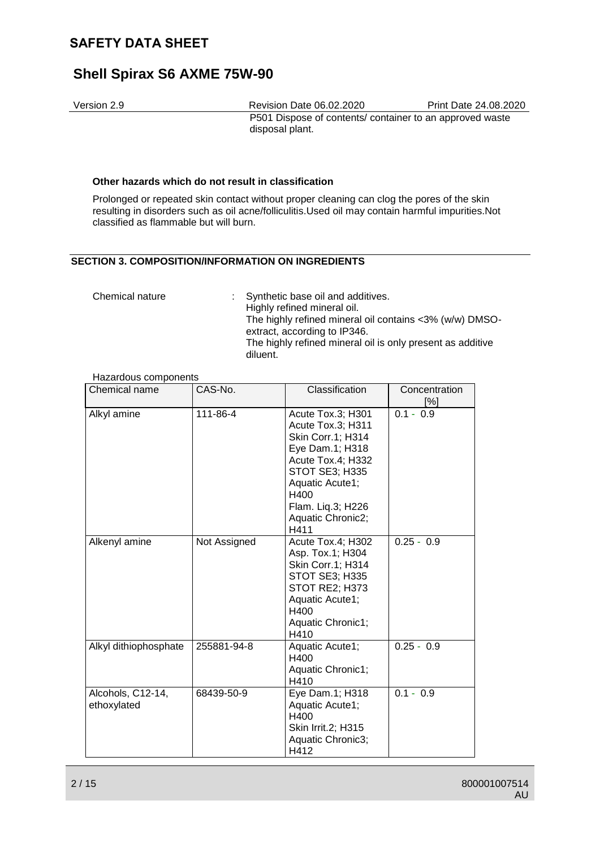## **Shell Spirax S6 AXME 75W-90**

Version 2.9 Revision Date 06.02.2020 Print Date 24.08.2020 P501 Dispose of contents/ container to an approved waste disposal plant.

#### **Other hazards which do not result in classification**

Prolonged or repeated skin contact without proper cleaning can clog the pores of the skin resulting in disorders such as oil acne/folliculitis.Used oil may contain harmful impurities.Not classified as flammable but will burn.

### **SECTION 3. COMPOSITION/INFORMATION ON INGREDIENTS**

| Chemical nature | : Synthetic base oil and additives.<br>Highly refined mineral oil.                      |
|-----------------|-----------------------------------------------------------------------------------------|
|                 | The highly refined mineral oil contains <3% (w/w) DMSO-<br>extract, according to IP346. |
|                 | The highly refined mineral oil is only present as additive<br>diluent.                  |

Hazardous components

| Chemical name                    | CAS-No.      | Classification                                                                                                                                                                                            | Concentration<br>$[\%]$ |
|----------------------------------|--------------|-----------------------------------------------------------------------------------------------------------------------------------------------------------------------------------------------------------|-------------------------|
| Alkyl amine                      | 111-86-4     | Acute Tox.3; H301<br>Acute Tox.3; H311<br>Skin Corr.1; H314<br>Eye Dam.1; H318<br>Acute Tox.4; H332<br><b>STOT SE3; H335</b><br>Aquatic Acute1;<br>H400<br>Flam. Liq.3; H226<br>Aquatic Chronic2;<br>H411 | $0.1 - 0.9$             |
| Alkenyl amine                    | Not Assigned | Acute Tox.4; H302<br>Asp. Tox.1; H304<br>Skin Corr.1; H314<br><b>STOT SE3; H335</b><br>STOT RE2; H373<br>Aquatic Acute1;<br>H400<br>Aquatic Chronic1;<br>H410                                             | $0.25 - 0.9$            |
| Alkyl dithiophosphate            | 255881-94-8  | Aquatic Acute1;<br>H400<br>Aquatic Chronic1;<br>H410                                                                                                                                                      | $0.25 - 0.9$            |
| Alcohols, C12-14,<br>ethoxylated | 68439-50-9   | Eye Dam.1; H318<br>Aquatic Acute1;<br>H400<br>Skin Irrit.2; H315<br>Aquatic Chronic3;<br>H412                                                                                                             | $0.1 - 0.9$             |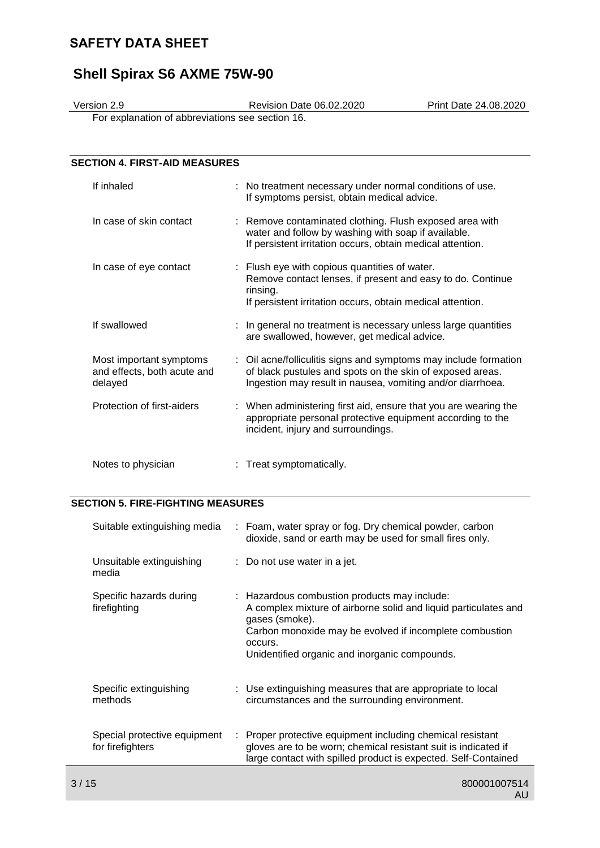# **Shell Spirax S6 AXME 75W-90**

Version 2.9 Revision Date 06.02.2020 Print Date 24.08.2020

For explanation of abbreviations see section 16.

| <b>SECTION 4. FIRST-AID MEASURES</b>                              |                                                                                                                                                                                             |
|-------------------------------------------------------------------|---------------------------------------------------------------------------------------------------------------------------------------------------------------------------------------------|
| If inhaled                                                        | : No treatment necessary under normal conditions of use.<br>If symptoms persist, obtain medical advice.                                                                                     |
| In case of skin contact                                           | : Remove contaminated clothing. Flush exposed area with<br>water and follow by washing with soap if available.<br>If persistent irritation occurs, obtain medical attention.                |
| In case of eye contact                                            | : Flush eye with copious quantities of water.<br>Remove contact lenses, if present and easy to do. Continue<br>rinsing.<br>If persistent irritation occurs, obtain medical attention.       |
| If swallowed                                                      | : In general no treatment is necessary unless large quantities<br>are swallowed, however, get medical advice.                                                                               |
| Most important symptoms<br>and effects, both acute and<br>delayed | : Oil acne/folliculitis signs and symptoms may include formation<br>of black pustules and spots on the skin of exposed areas.<br>Ingestion may result in nausea, vomiting and/or diarrhoea. |
| Protection of first-aiders                                        | : When administering first aid, ensure that you are wearing the<br>appropriate personal protective equipment according to the<br>incident, injury and surroundings.                         |
| Notes to physician                                                | Treat symptomatically.                                                                                                                                                                      |

## **SECTION 5. FIRE-FIGHTING MEASURES**

| Suitable extinguishing media                     |    | : Foam, water spray or fog. Dry chemical powder, carbon<br>dioxide, sand or earth may be used for small fires only.                                                                                                                                      |
|--------------------------------------------------|----|----------------------------------------------------------------------------------------------------------------------------------------------------------------------------------------------------------------------------------------------------------|
| Unsuitable extinguishing<br>media                |    | $\therefore$ Do not use water in a jet.                                                                                                                                                                                                                  |
| Specific hazards during<br>firefighting          |    | : Hazardous combustion products may include:<br>A complex mixture of airborne solid and liquid particulates and<br>gases (smoke).<br>Carbon monoxide may be evolved if incomplete combustion<br>occurs.<br>Unidentified organic and inorganic compounds. |
| Specific extinguishing<br>methods                |    | : Use extinguishing measures that are appropriate to local<br>circumstances and the surrounding environment.                                                                                                                                             |
| Special protective equipment<br>for firefighters | ÷. | Proper protective equipment including chemical resistant<br>gloves are to be worn; chemical resistant suit is indicated if<br>large contact with spilled product is expected. Self-Contained                                                             |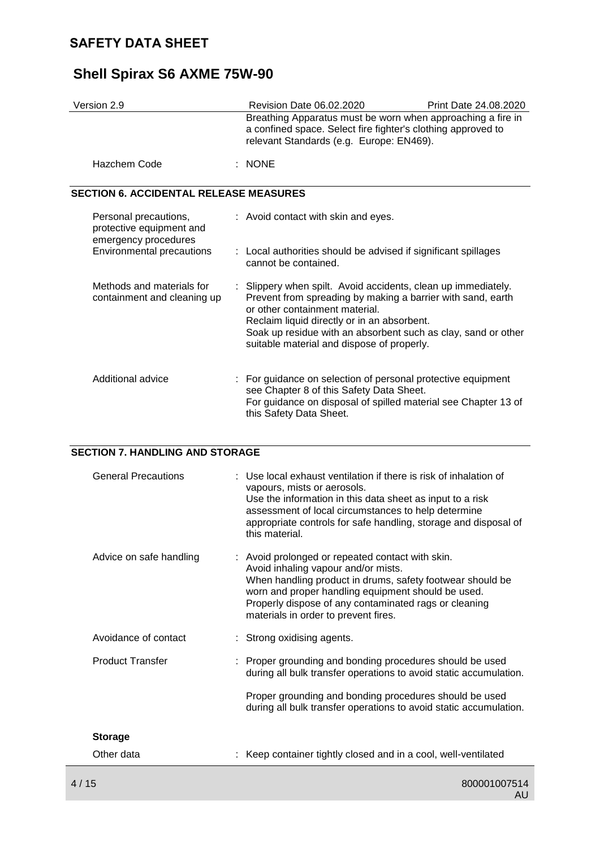# **Shell Spirax S6 AXME 75W-90**

| Version 2.9                                                               |  | Revision Date 06.02.2020                                                                                                                                                                                                                                                                                                     | <b>Print Date 24.08.2020</b> |
|---------------------------------------------------------------------------|--|------------------------------------------------------------------------------------------------------------------------------------------------------------------------------------------------------------------------------------------------------------------------------------------------------------------------------|------------------------------|
|                                                                           |  | Breathing Apparatus must be worn when approaching a fire in<br>a confined space. Select fire fighter's clothing approved to<br>relevant Standards (e.g. Europe: EN469).                                                                                                                                                      |                              |
| Hazchem Code                                                              |  | $\therefore$ NONE                                                                                                                                                                                                                                                                                                            |                              |
| <b>SECTION 6. ACCIDENTAL RELEASE MEASURES</b>                             |  |                                                                                                                                                                                                                                                                                                                              |                              |
| Personal precautions,<br>protective equipment and<br>emergency procedures |  | : Avoid contact with skin and eyes.                                                                                                                                                                                                                                                                                          |                              |
| Environmental precautions                                                 |  | : Local authorities should be advised if significant spillages<br>cannot be contained.                                                                                                                                                                                                                                       |                              |
| Methods and materials for<br>containment and cleaning up                  |  | : Slippery when spilt. Avoid accidents, clean up immediately.<br>Prevent from spreading by making a barrier with sand, earth<br>or other containment material.<br>Reclaim liquid directly or in an absorbent.<br>Soak up residue with an absorbent such as clay, sand or other<br>suitable material and dispose of properly. |                              |

| Additional advice |  | : For guidance on selection of personal protective equipment<br>see Chapter 8 of this Safety Data Sheet.<br>For guidance on disposal of spilled material see Chapter 13 of<br>this Safety Data Sheet. |
|-------------------|--|-------------------------------------------------------------------------------------------------------------------------------------------------------------------------------------------------------|
|-------------------|--|-------------------------------------------------------------------------------------------------------------------------------------------------------------------------------------------------------|

## **SECTION 7. HANDLING AND STORAGE**

|      | <b>General Precautions</b> | : Use local exhaust ventilation if there is risk of inhalation of<br>vapours, mists or aerosols.<br>Use the information in this data sheet as input to a risk<br>assessment of local circumstances to help determine<br>appropriate controls for safe handling, storage and disposal of<br>this material.   |
|------|----------------------------|-------------------------------------------------------------------------------------------------------------------------------------------------------------------------------------------------------------------------------------------------------------------------------------------------------------|
|      | Advice on safe handling    | : Avoid prolonged or repeated contact with skin.<br>Avoid inhaling vapour and/or mists.<br>When handling product in drums, safety footwear should be<br>worn and proper handling equipment should be used.<br>Properly dispose of any contaminated rags or cleaning<br>materials in order to prevent fires. |
|      | Avoidance of contact       | : Strong oxidising agents.                                                                                                                                                                                                                                                                                  |
|      | <b>Product Transfer</b>    | : Proper grounding and bonding procedures should be used<br>during all bulk transfer operations to avoid static accumulation.                                                                                                                                                                               |
|      |                            | Proper grounding and bonding procedures should be used<br>during all bulk transfer operations to avoid static accumulation.                                                                                                                                                                                 |
|      | <b>Storage</b>             |                                                                                                                                                                                                                                                                                                             |
|      | Other data                 | Keep container tightly closed and in a cool, well-ventilated                                                                                                                                                                                                                                                |
| 4/15 |                            | 800001007514                                                                                                                                                                                                                                                                                                |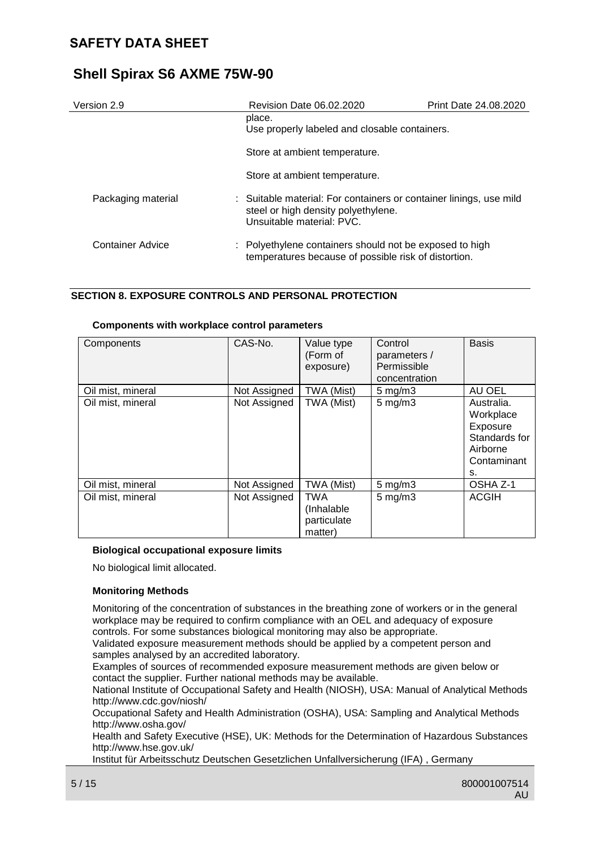| Version 2.9        | Revision Date 06.02.2020                                                                                                               | <b>Print Date 24.08.2020</b> |
|--------------------|----------------------------------------------------------------------------------------------------------------------------------------|------------------------------|
|                    | place.<br>Use properly labeled and closable containers.                                                                                |                              |
|                    | Store at ambient temperature.                                                                                                          |                              |
|                    | Store at ambient temperature.                                                                                                          |                              |
| Packaging material | : Suitable material: For containers or container linings, use mild<br>steel or high density polyethylene.<br>Unsuitable material: PVC. |                              |
| Container Advice   | : Polyethylene containers should not be exposed to high<br>temperatures because of possible risk of distortion.                        |                              |

### **SECTION 8. EXPOSURE CONTROLS AND PERSONAL PROTECTION**

| Components        | CAS-No.      | Value type<br>(Form of<br>exposure)                 | Control<br>parameters /<br>Permissible<br>concentration | <b>Basis</b>                                                                          |
|-------------------|--------------|-----------------------------------------------------|---------------------------------------------------------|---------------------------------------------------------------------------------------|
| Oil mist, mineral | Not Assigned | TWA (Mist)                                          | $5 \text{ mg/m}$ 3                                      | AU OEL                                                                                |
| Oil mist, mineral | Not Assigned | TWA (Mist)                                          | $5 \text{ mg/m}$ 3                                      | Australia.<br>Workplace<br>Exposure<br>Standards for<br>Airborne<br>Contaminant<br>s. |
| Oil mist, mineral | Not Assigned | TWA (Mist)                                          | $5$ mg/m $3$                                            | OSHA Z-1                                                                              |
| Oil mist, mineral | Not Assigned | <b>TWA</b><br>(Inhalable)<br>particulate<br>matter) | $5$ mg/m $3$                                            | <b>ACGIH</b>                                                                          |

#### **Components with workplace control parameters**

#### **Biological occupational exposure limits**

No biological limit allocated.

#### **Monitoring Methods**

Monitoring of the concentration of substances in the breathing zone of workers or in the general workplace may be required to confirm compliance with an OEL and adequacy of exposure controls. For some substances biological monitoring may also be appropriate.

Validated exposure measurement methods should be applied by a competent person and samples analysed by an accredited laboratory.

Examples of sources of recommended exposure measurement methods are given below or contact the supplier. Further national methods may be available.

National Institute of Occupational Safety and Health (NIOSH), USA: Manual of Analytical Methods http://www.cdc.gov/niosh/

Occupational Safety and Health Administration (OSHA), USA: Sampling and Analytical Methods http://www.osha.gov/

Health and Safety Executive (HSE), UK: Methods for the Determination of Hazardous Substances http://www.hse.gov.uk/

Institut für Arbeitsschutz Deutschen Gesetzlichen Unfallversicherung (IFA) , Germany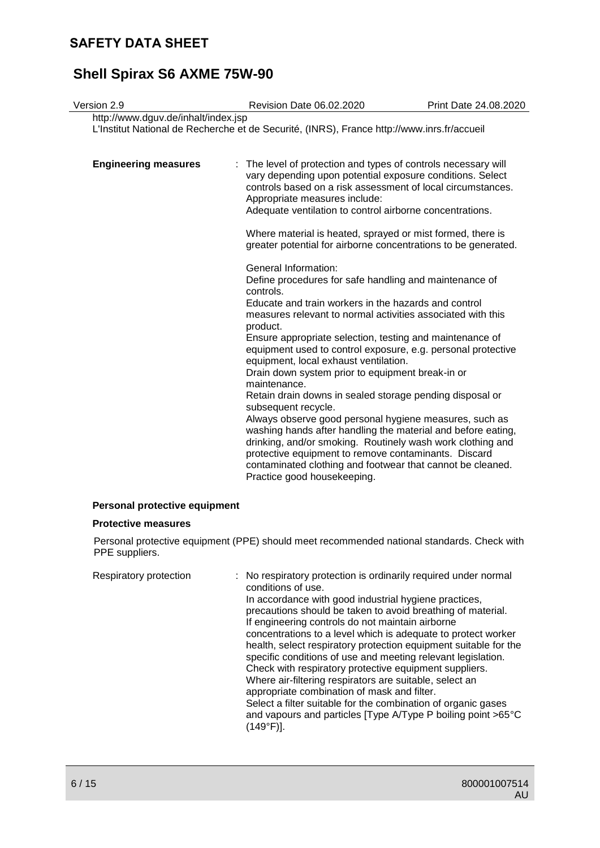# **Shell Spirax S6 AXME 75W-90**

| Version 2.9                         | Revision Date 06.02.2020                                                                                                                                                                                                                                                                                                                                                                                                                                                                                                                                                                                                                                                                                                                                                                                                                                                                                                                                                                                                                                                                                                                                                                                                                                                                                                               | Print Date 24.08.2020 |
|-------------------------------------|----------------------------------------------------------------------------------------------------------------------------------------------------------------------------------------------------------------------------------------------------------------------------------------------------------------------------------------------------------------------------------------------------------------------------------------------------------------------------------------------------------------------------------------------------------------------------------------------------------------------------------------------------------------------------------------------------------------------------------------------------------------------------------------------------------------------------------------------------------------------------------------------------------------------------------------------------------------------------------------------------------------------------------------------------------------------------------------------------------------------------------------------------------------------------------------------------------------------------------------------------------------------------------------------------------------------------------------|-----------------------|
| http://www.dguv.de/inhalt/index.jsp | L'Institut National de Recherche et de Securité, (INRS), France http://www.inrs.fr/accueil                                                                                                                                                                                                                                                                                                                                                                                                                                                                                                                                                                                                                                                                                                                                                                                                                                                                                                                                                                                                                                                                                                                                                                                                                                             |                       |
| <b>Engineering measures</b>         | The level of protection and types of controls necessary will<br>÷.<br>vary depending upon potential exposure conditions. Select<br>controls based on a risk assessment of local circumstances.<br>Appropriate measures include:<br>Adequate ventilation to control airborne concentrations.<br>Where material is heated, sprayed or mist formed, there is<br>greater potential for airborne concentrations to be generated.<br>General Information:<br>Define procedures for safe handling and maintenance of<br>controls.<br>Educate and train workers in the hazards and control<br>measures relevant to normal activities associated with this<br>product.<br>Ensure appropriate selection, testing and maintenance of<br>equipment used to control exposure, e.g. personal protective<br>equipment, local exhaust ventilation.<br>Drain down system prior to equipment break-in or<br>maintenance.<br>Retain drain downs in sealed storage pending disposal or<br>subsequent recycle.<br>Always observe good personal hygiene measures, such as<br>washing hands after handling the material and before eating,<br>drinking, and/or smoking. Routinely wash work clothing and<br>protective equipment to remove contaminants. Discard<br>contaminated clothing and footwear that cannot be cleaned.<br>Practice good housekeeping. |                       |
|                                     |                                                                                                                                                                                                                                                                                                                                                                                                                                                                                                                                                                                                                                                                                                                                                                                                                                                                                                                                                                                                                                                                                                                                                                                                                                                                                                                                        |                       |

### **Personal protective equipment**

#### **Protective measures**

Personal protective equipment (PPE) should meet recommended national standards. Check with PPE suppliers.

| Respiratory protection | : No respiratory protection is ordinarily required under normal<br>conditions of use.<br>In accordance with good industrial hygiene practices,<br>precautions should be taken to avoid breathing of material.<br>If engineering controls do not maintain airborne<br>concentrations to a level which is adequate to protect worker<br>health, select respiratory protection equipment suitable for the<br>specific conditions of use and meeting relevant legislation.<br>Check with respiratory protective equipment suppliers.<br>Where air-filtering respirators are suitable, select an<br>appropriate combination of mask and filter.<br>Select a filter suitable for the combination of organic gases<br>and vapours and particles [Type A/Type P boiling point >65°C<br>(149°F)]. |
|------------------------|------------------------------------------------------------------------------------------------------------------------------------------------------------------------------------------------------------------------------------------------------------------------------------------------------------------------------------------------------------------------------------------------------------------------------------------------------------------------------------------------------------------------------------------------------------------------------------------------------------------------------------------------------------------------------------------------------------------------------------------------------------------------------------------|
|------------------------|------------------------------------------------------------------------------------------------------------------------------------------------------------------------------------------------------------------------------------------------------------------------------------------------------------------------------------------------------------------------------------------------------------------------------------------------------------------------------------------------------------------------------------------------------------------------------------------------------------------------------------------------------------------------------------------------------------------------------------------------------------------------------------------|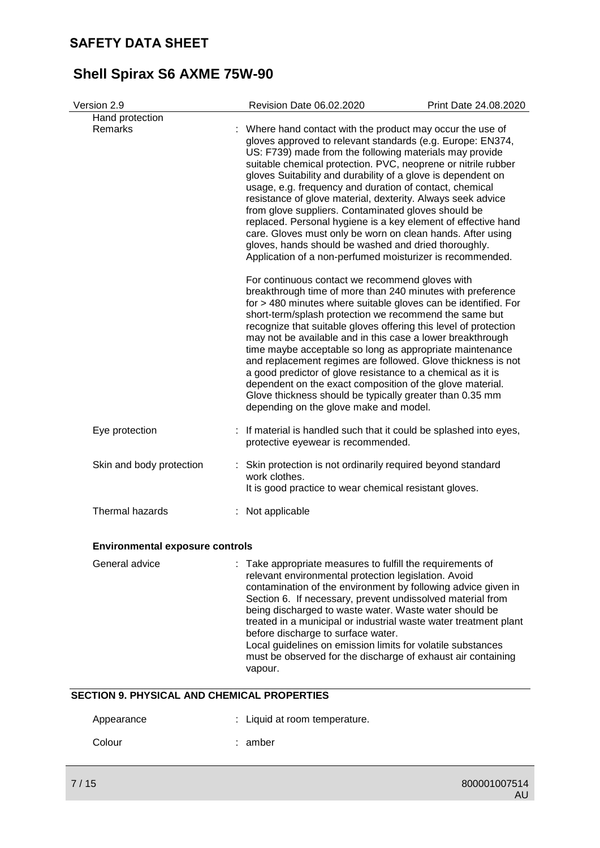| Version 2.9                            | Revision Date 06.02.2020                                                                                                                                                                                                                                                                                                                                                                                                                                                                                                                                                                                                                                                                                                                                  | Print Date 24.08.2020 |
|----------------------------------------|-----------------------------------------------------------------------------------------------------------------------------------------------------------------------------------------------------------------------------------------------------------------------------------------------------------------------------------------------------------------------------------------------------------------------------------------------------------------------------------------------------------------------------------------------------------------------------------------------------------------------------------------------------------------------------------------------------------------------------------------------------------|-----------------------|
| Hand protection<br>Remarks             | : Where hand contact with the product may occur the use of<br>gloves approved to relevant standards (e.g. Europe: EN374,<br>US: F739) made from the following materials may provide<br>suitable chemical protection. PVC, neoprene or nitrile rubber<br>gloves Suitability and durability of a glove is dependent on<br>usage, e.g. frequency and duration of contact, chemical<br>resistance of glove material, dexterity. Always seek advice<br>from glove suppliers. Contaminated gloves should be<br>replaced. Personal hygiene is a key element of effective hand<br>care. Gloves must only be worn on clean hands. After using<br>gloves, hands should be washed and dried thoroughly.<br>Application of a non-perfumed moisturizer is recommended. |                       |
|                                        | For continuous contact we recommend gloves with<br>breakthrough time of more than 240 minutes with preference<br>for > 480 minutes where suitable gloves can be identified. For<br>short-term/splash protection we recommend the same but<br>recognize that suitable gloves offering this level of protection<br>may not be available and in this case a lower breakthrough<br>time maybe acceptable so long as appropriate maintenance<br>and replacement regimes are followed. Glove thickness is not<br>a good predictor of glove resistance to a chemical as it is<br>dependent on the exact composition of the glove material.<br>Glove thickness should be typically greater than 0.35 mm<br>depending on the glove make and model.                 |                       |
| Eye protection                         | : If material is handled such that it could be splashed into eyes,<br>protective eyewear is recommended.                                                                                                                                                                                                                                                                                                                                                                                                                                                                                                                                                                                                                                                  |                       |
| Skin and body protection               | Skin protection is not ordinarily required beyond standard<br>work clothes.<br>It is good practice to wear chemical resistant gloves.                                                                                                                                                                                                                                                                                                                                                                                                                                                                                                                                                                                                                     |                       |
| Thermal hazards                        | Not applicable                                                                                                                                                                                                                                                                                                                                                                                                                                                                                                                                                                                                                                                                                                                                            |                       |
| <b>Environmental exposure controls</b> |                                                                                                                                                                                                                                                                                                                                                                                                                                                                                                                                                                                                                                                                                                                                                           |                       |
| General advice                         | : Take appropriate measures to fulfill the requirements of<br>relevant environmental protection legislation. Avoid<br>contamination of the environment by following advice given in<br>Section 6. If necessary, prevent undissolved material from<br>being discharged to waste water. Waste water should be<br>treated in a municipal or industrial waste water treatment plant<br>before discharge to surface water.                                                                                                                                                                                                                                                                                                                                     |                       |

Local guidelines on emission limits for volatile substances must be observed for the discharge of exhaust air containing vapour.

### **SECTION 9. PHYSICAL AND CHEMICAL PROPERTIES**

| Appearance | : Liquid at room temperature. |
|------------|-------------------------------|
| Colour     | : amber                       |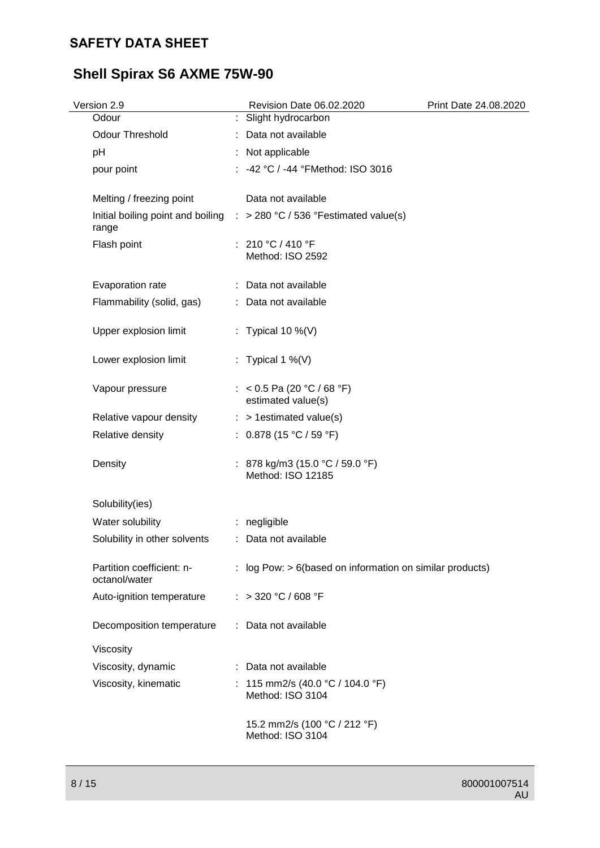# **Shell Spirax S6 AXME 75W-90**

| Version 2.9                                | Revision Date 06.02.2020                                                           | Print Date 24.08.2020 |
|--------------------------------------------|------------------------------------------------------------------------------------|-----------------------|
| Odour                                      | : Slight hydrocarbon                                                               |                       |
| <b>Odour Threshold</b>                     | : Data not available                                                               |                       |
| pH                                         | : Not applicable                                                                   |                       |
| pour point                                 | : -42 °C / -44 °FMethod: ISO 3016                                                  |                       |
| Melting / freezing point                   | Data not available                                                                 |                       |
| range                                      | Initial boiling point and boiling $\therefore$ > 280 °C / 536 °Festimated value(s) |                       |
| Flash point                                | : 210 °C / 410 °F<br>Method: ISO 2592                                              |                       |
| Evaporation rate                           | : Data not available                                                               |                       |
| Flammability (solid, gas)                  | : Data not available                                                               |                       |
| Upper explosion limit                      | : Typical 10 %(V)                                                                  |                       |
| Lower explosion limit                      | : Typical 1 %(V)                                                                   |                       |
| Vapour pressure                            | : < 0.5 Pa (20 °C / 68 °F)<br>estimated value(s)                                   |                       |
| Relative vapour density                    | $:$ > 1 estimated value(s)                                                         |                       |
| Relative density                           | : $0.878(15 °C / 59 °F)$                                                           |                       |
| Density                                    | : 878 kg/m3 (15.0 °C / 59.0 °F)<br>Method: ISO 12185                               |                       |
| Solubility(ies)                            |                                                                                    |                       |
| Water solubility                           | : negligible                                                                       |                       |
| Solubility in other solvents               | : Data not available                                                               |                       |
| Partition coefficient: n-<br>octanol/water | : log Pow: $> 6$ (based on information on similar products)                        |                       |
| Auto-ignition temperature                  | : >320 °C / 608 °F                                                                 |                       |
| Decomposition temperature                  | : Data not available                                                               |                       |
| Viscosity                                  |                                                                                    |                       |
| Viscosity, dynamic                         | : Data not available                                                               |                       |
| Viscosity, kinematic                       | : 115 mm2/s (40.0 °C / 104.0 °F)<br>Method: ISO 3104                               |                       |
|                                            | 15.2 mm2/s (100 °C / 212 °F)<br>Method: ISO 3104                                   |                       |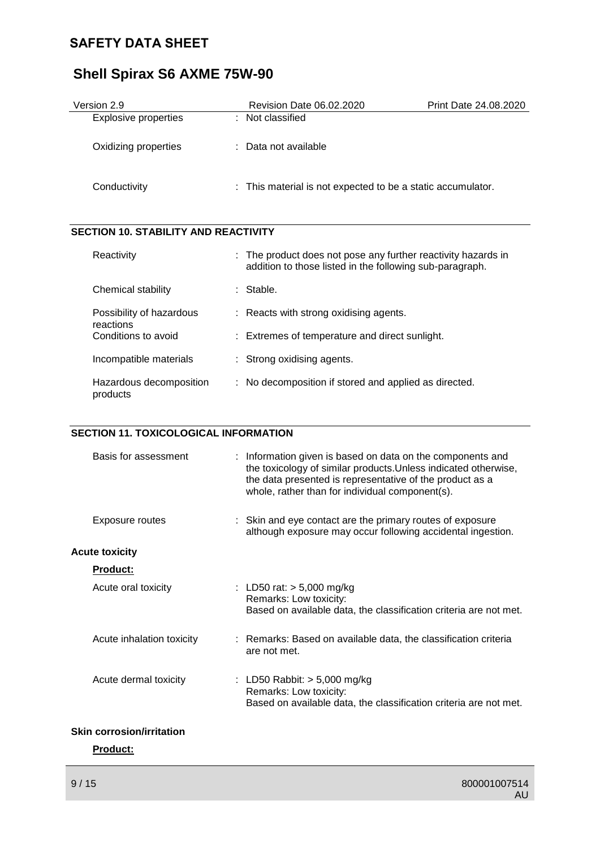# **Shell Spirax S6 AXME 75W-90**

| Version 2.9                 | Revision Date 06.02.2020                                    | <b>Print Date 24.08.2020</b> |
|-----------------------------|-------------------------------------------------------------|------------------------------|
| <b>Explosive properties</b> | : Not classified                                            |                              |
| Oxidizing properties        | : Data not available                                        |                              |
| Conductivity                | : This material is not expected to be a static accumulator. |                              |

### **SECTION 10. STABILITY AND REACTIVITY**

| Reactivity                            | : The product does not pose any further reactivity hazards in<br>addition to those listed in the following sub-paragraph. |
|---------------------------------------|---------------------------------------------------------------------------------------------------------------------------|
| Chemical stability                    | : Stable.                                                                                                                 |
| Possibility of hazardous<br>reactions | $\therefore$ Reacts with strong oxidising agents.                                                                         |
| Conditions to avoid                   | : Extremes of temperature and direct sunlight.                                                                            |
| Incompatible materials                | : Strong oxidising agents.                                                                                                |
| Hazardous decomposition<br>products   | : No decomposition if stored and applied as directed.                                                                     |

#### **SECTION 11. TOXICOLOGICAL INFORMATION**

| Basis for assessment             | : Information given is based on data on the components and<br>the toxicology of similar products. Unless indicated otherwise,<br>the data presented is representative of the product as a<br>whole, rather than for individual component(s). |
|----------------------------------|----------------------------------------------------------------------------------------------------------------------------------------------------------------------------------------------------------------------------------------------|
| Exposure routes                  | : Skin and eye contact are the primary routes of exposure<br>although exposure may occur following accidental ingestion.                                                                                                                     |
| <b>Acute toxicity</b>            |                                                                                                                                                                                                                                              |
| <b>Product:</b>                  |                                                                                                                                                                                                                                              |
| Acute oral toxicity              | : LD50 rat: $> 5,000$ mg/kg<br>Remarks: Low toxicity:<br>Based on available data, the classification criteria are not met.                                                                                                                   |
| Acute inhalation toxicity        | : Remarks: Based on available data, the classification criteria<br>are not met.                                                                                                                                                              |
| Acute dermal toxicity            | : LD50 Rabbit: $> 5,000$ mg/kg<br>Remarks: Low toxicity:<br>Based on available data, the classification criteria are not met.                                                                                                                |
| <b>Skin corrosion/irritation</b> |                                                                                                                                                                                                                                              |

**Product:**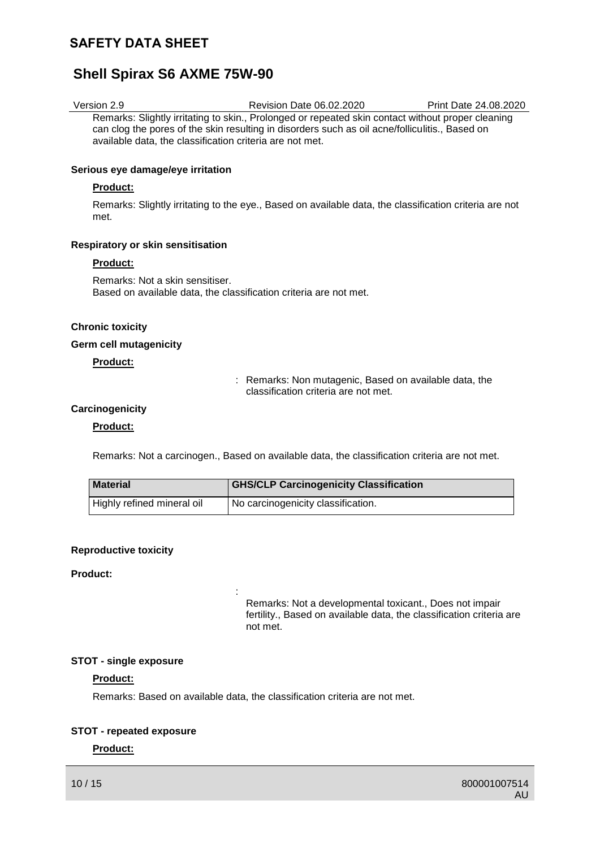## **Shell Spirax S6 AXME 75W-90**

| Version 2.9 | <b>Revision Date 06.02.2020</b>                                                                   | Print Date 24.08.2020 |
|-------------|---------------------------------------------------------------------------------------------------|-----------------------|
|             | Remarks: Slightly irritating to skin., Prolonged or repeated skin contact without proper cleaning |                       |
|             | can clog the pores of the skin resulting in disorders such as oil acne/folliculitis., Based on    |                       |
|             | available data, the classification criteria are not met.                                          |                       |

#### **Serious eye damage/eye irritation**

#### **Product:**

Remarks: Slightly irritating to the eye., Based on available data, the classification criteria are not met.

#### **Respiratory or skin sensitisation**

#### **Product:**

Remarks: Not a skin sensitiser. Based on available data, the classification criteria are not met.

#### **Chronic toxicity**

#### **Germ cell mutagenicity**

#### **Product:**

: Remarks: Non mutagenic, Based on available data, the classification criteria are not met.

#### **Carcinogenicity**

#### **Product:**

Remarks: Not a carcinogen., Based on available data, the classification criteria are not met.

| <b>Material</b>            | <b>GHS/CLP Carcinogenicity Classification</b>   |
|----------------------------|-------------------------------------------------|
| Highly refined mineral oil | <sup>1</sup> No carcinogenicity classification. |

#### **Reproductive toxicity**

#### **Product:**

Remarks: Not a developmental toxicant., Does not impair fertility., Based on available data, the classification criteria are not met.

#### **STOT - single exposure**

#### **Product:**

Remarks: Based on available data, the classification criteria are not met.

:

#### **STOT - repeated exposure**

#### **Product:**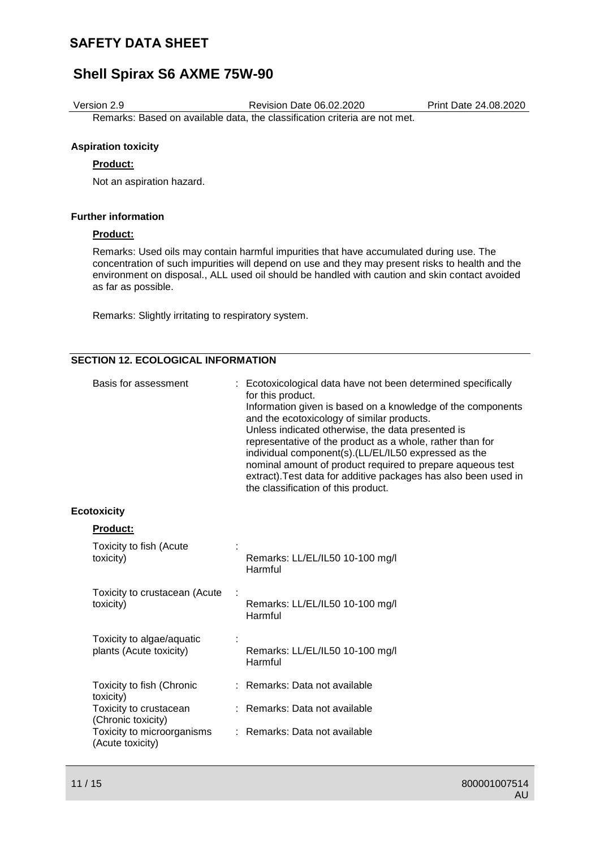## **Shell Spirax S6 AXME 75W-90**

Version 2.9 Revision Date 06.02.2020 Print Date 24.08.2020

Remarks: Based on available data, the classification criteria are not met.

#### **Aspiration toxicity**

#### **Product:**

Not an aspiration hazard.

#### **Further information**

#### **Product:**

Remarks: Used oils may contain harmful impurities that have accumulated during use. The concentration of such impurities will depend on use and they may present risks to health and the environment on disposal., ALL used oil should be handled with caution and skin contact avoided as far as possible.

Remarks: Slightly irritating to respiratory system.

### **SECTION 12. ECOLOGICAL INFORMATION**

| and the ecotoxicology of similar products.<br>Unless indicated otherwise, the data presented is<br>representative of the product as a whole, rather than for<br>individual component(s).(LL/EL/IL50 expressed as the<br>the classification of this product. | Basis for assessment | : Ecotoxicological data have not been determined specifically<br>for this product.<br>Information given is based on a knowledge of the components<br>nominal amount of product required to prepare aqueous test<br>extract). Test data for additive packages has also been used in |
|-------------------------------------------------------------------------------------------------------------------------------------------------------------------------------------------------------------------------------------------------------------|----------------------|------------------------------------------------------------------------------------------------------------------------------------------------------------------------------------------------------------------------------------------------------------------------------------|
|-------------------------------------------------------------------------------------------------------------------------------------------------------------------------------------------------------------------------------------------------------------|----------------------|------------------------------------------------------------------------------------------------------------------------------------------------------------------------------------------------------------------------------------------------------------------------------------|

#### **Ecotoxicity**

| <b>Product:</b>                                      |                                            |
|------------------------------------------------------|--------------------------------------------|
| Toxicity to fish (Acute<br>toxicity)                 | Remarks: LL/EL/IL50 10-100 mg/l<br>Harmful |
| Toxicity to crustacean (Acute<br>toxicity)           | Remarks: LL/EL/IL50 10-100 mg/l<br>Harmful |
| Toxicity to algae/aquatic<br>plants (Acute toxicity) | Remarks: LL/EL/IL50 10-100 mg/l<br>Harmful |
| Toxicity to fish (Chronic<br>toxicity)               | : Remarks: Data not available              |
| Toxicity to crustacean<br>(Chronic toxicity)         | : Remarks: Data not available              |
| Toxicity to microorganisms<br>(Acute toxicity)       | Remarks: Data not available                |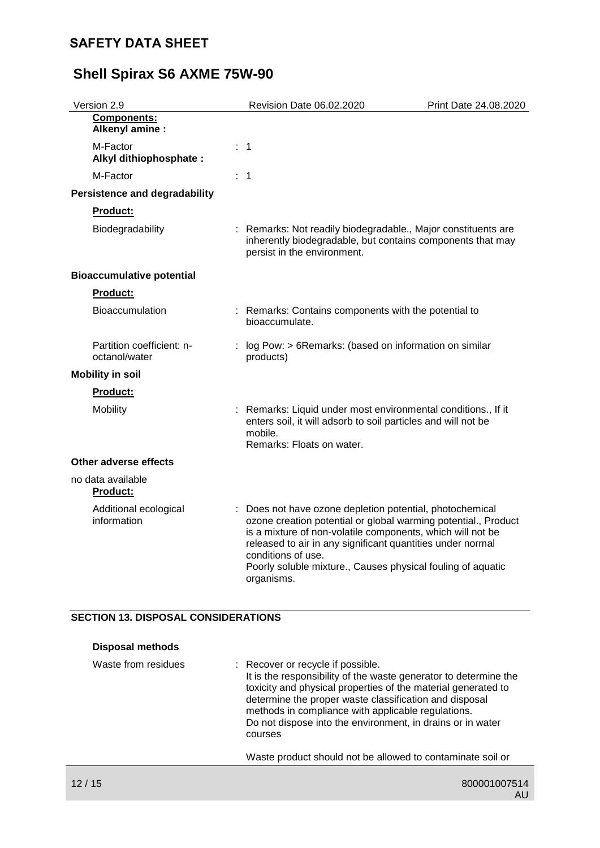| Revision Date 06.02.2020             | Print Date 24.08.2020                                                                                                                                                                                                                                                                                                                                                                                                                                                                                                                                                                                                                                                                                                 |
|--------------------------------------|-----------------------------------------------------------------------------------------------------------------------------------------------------------------------------------------------------------------------------------------------------------------------------------------------------------------------------------------------------------------------------------------------------------------------------------------------------------------------------------------------------------------------------------------------------------------------------------------------------------------------------------------------------------------------------------------------------------------------|
|                                      |                                                                                                                                                                                                                                                                                                                                                                                                                                                                                                                                                                                                                                                                                                                       |
|                                      |                                                                                                                                                                                                                                                                                                                                                                                                                                                                                                                                                                                                                                                                                                                       |
|                                      |                                                                                                                                                                                                                                                                                                                                                                                                                                                                                                                                                                                                                                                                                                                       |
|                                      |                                                                                                                                                                                                                                                                                                                                                                                                                                                                                                                                                                                                                                                                                                                       |
|                                      |                                                                                                                                                                                                                                                                                                                                                                                                                                                                                                                                                                                                                                                                                                                       |
| persist in the environment.          |                                                                                                                                                                                                                                                                                                                                                                                                                                                                                                                                                                                                                                                                                                                       |
|                                      |                                                                                                                                                                                                                                                                                                                                                                                                                                                                                                                                                                                                                                                                                                                       |
|                                      |                                                                                                                                                                                                                                                                                                                                                                                                                                                                                                                                                                                                                                                                                                                       |
| bioaccumulate.                       |                                                                                                                                                                                                                                                                                                                                                                                                                                                                                                                                                                                                                                                                                                                       |
| products)                            |                                                                                                                                                                                                                                                                                                                                                                                                                                                                                                                                                                                                                                                                                                                       |
|                                      |                                                                                                                                                                                                                                                                                                                                                                                                                                                                                                                                                                                                                                                                                                                       |
|                                      |                                                                                                                                                                                                                                                                                                                                                                                                                                                                                                                                                                                                                                                                                                                       |
| mobile.<br>Remarks: Floats on water. |                                                                                                                                                                                                                                                                                                                                                                                                                                                                                                                                                                                                                                                                                                                       |
|                                      |                                                                                                                                                                                                                                                                                                                                                                                                                                                                                                                                                                                                                                                                                                                       |
|                                      |                                                                                                                                                                                                                                                                                                                                                                                                                                                                                                                                                                                                                                                                                                                       |
| conditions of use.<br>organisms.     |                                                                                                                                                                                                                                                                                                                                                                                                                                                                                                                                                                                                                                                                                                                       |
|                                      | : 1<br>: 1<br>: Remarks: Not readily biodegradable., Major constituents are<br>inherently biodegradable, but contains components that may<br>: Remarks: Contains components with the potential to<br>: log Pow: > 6Remarks: (based on information on similar<br>Remarks: Liquid under most environmental conditions., If it<br>enters soil, it will adsorb to soil particles and will not be<br>: Does not have ozone depletion potential, photochemical<br>ozone creation potential or global warming potential., Product<br>is a mixture of non-volatile components, which will not be<br>released to air in any significant quantities under normal<br>Poorly soluble mixture., Causes physical fouling of aquatic |

### **SECTION 13. DISPOSAL CONSIDERATIONS**

| <b>Disposal methods</b> |                                                                                                                                                                                                                                                                                                                                                                 |
|-------------------------|-----------------------------------------------------------------------------------------------------------------------------------------------------------------------------------------------------------------------------------------------------------------------------------------------------------------------------------------------------------------|
| Waste from residues     | : Recover or recycle if possible.<br>It is the responsibility of the waste generator to determine the<br>toxicity and physical properties of the material generated to<br>determine the proper waste classification and disposal<br>methods in compliance with applicable regulations.<br>Do not dispose into the environment, in drains or in water<br>courses |
|                         | Waste product should not be allowed to contaminate soil or                                                                                                                                                                                                                                                                                                      |
|                         |                                                                                                                                                                                                                                                                                                                                                                 |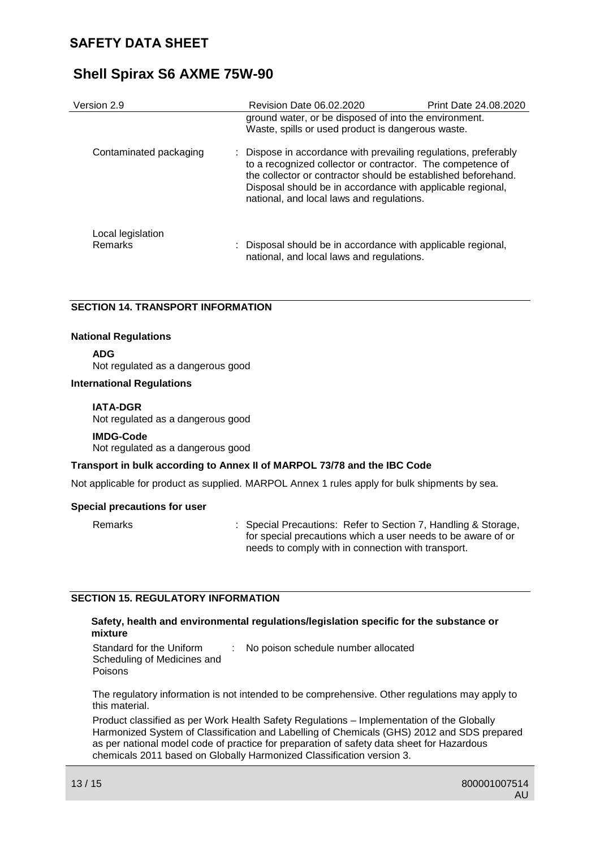| Version 2.9            | Revision Date 06.02.2020                                                                                                                                                                                                                                                                                  | Print Date 24.08.2020 |
|------------------------|-----------------------------------------------------------------------------------------------------------------------------------------------------------------------------------------------------------------------------------------------------------------------------------------------------------|-----------------------|
|                        | ground water, or be disposed of into the environment.<br>Waste, spills or used product is dangerous waste.                                                                                                                                                                                                |                       |
| Contaminated packaging | : Dispose in accordance with prevailing regulations, preferably<br>to a recognized collector or contractor. The competence of<br>the collector or contractor should be established beforehand.<br>Disposal should be in accordance with applicable regional,<br>national, and local laws and regulations. |                       |
| Local legislation      |                                                                                                                                                                                                                                                                                                           |                       |
| Remarks                | : Disposal should be in accordance with applicable regional,<br>national, and local laws and regulations.                                                                                                                                                                                                 |                       |

### **SECTION 14. TRANSPORT INFORMATION**

#### **National Regulations**

**ADG**

Not regulated as a dangerous good

#### **International Regulations**

#### **IATA-DGR**

Not regulated as a dangerous good

#### **IMDG-Code**

Not regulated as a dangerous good

#### **Transport in bulk according to Annex II of MARPOL 73/78 and the IBC Code**

Not applicable for product as supplied. MARPOL Annex 1 rules apply for bulk shipments by sea.

#### **Special precautions for user**

Remarks : Special Precautions: Refer to Section 7, Handling & Storage, for special precautions which a user needs to be aware of or needs to comply with in connection with transport.

#### **SECTION 15. REGULATORY INFORMATION**

#### **Safety, health and environmental regulations/legislation specific for the substance or mixture**

Standard for the Uniform Scheduling of Medicines and Poisons : No poison schedule number allocated

The regulatory information is not intended to be comprehensive. Other regulations may apply to this material.

Product classified as per Work Health Safety Regulations – Implementation of the Globally Harmonized System of Classification and Labelling of Chemicals (GHS) 2012 and SDS prepared as per national model code of practice for preparation of safety data sheet for Hazardous chemicals 2011 based on Globally Harmonized Classification version 3.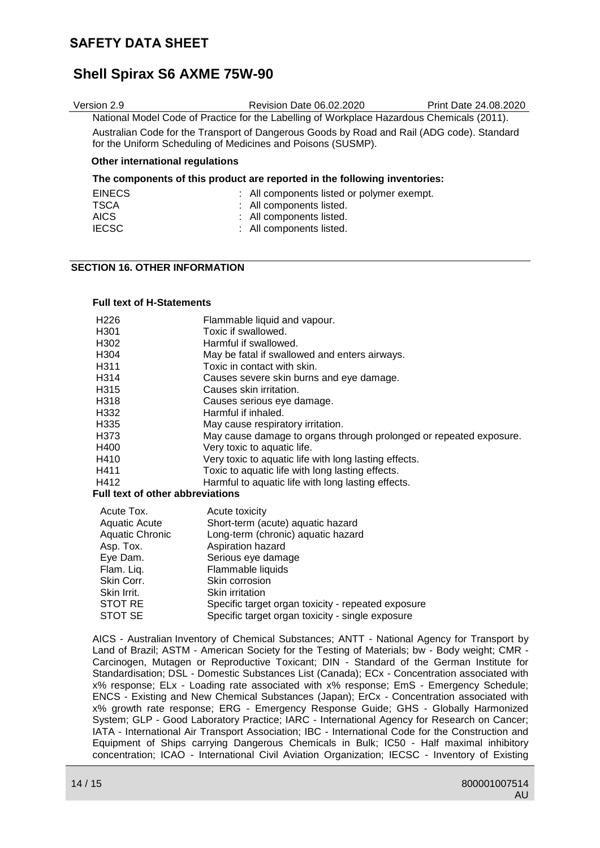## **Shell Spirax S6 AXME 75W-90**

| Version 2.9                                                                                                                                                | Revision Date 06.02.2020                                                                   | Print Date 24.08.2020 |
|------------------------------------------------------------------------------------------------------------------------------------------------------------|--------------------------------------------------------------------------------------------|-----------------------|
|                                                                                                                                                            | National Model Code of Practice for the Labelling of Workplace Hazardous Chemicals (2011). |                       |
| Australian Code for the Transport of Dangerous Goods by Road and Rail (ADG code). Standard<br>for the Uniform Scheduling of Medicines and Poisons (SUSMP). |                                                                                            |                       |
| Other international regulations                                                                                                                            |                                                                                            |                       |
| The components of this product are reported in the following inventories:                                                                                  |                                                                                            |                       |
| <b>EINECS</b>                                                                                                                                              | : All components listed or polymer exempt.                                                 |                       |
|                                                                                                                                                            |                                                                                            |                       |

| TSCA         | : All components listed. |
|--------------|--------------------------|
| AICS.        | : All components listed. |
| <b>IECSC</b> | : All components listed. |

#### **SECTION 16. OTHER INFORMATION**

#### **Full text of H-Statements**

| H <sub>226</sub>                        | Flammable liquid and vapour.                                       |
|-----------------------------------------|--------------------------------------------------------------------|
| H <sub>301</sub>                        | Toxic if swallowed.                                                |
| H <sub>302</sub>                        | Harmful if swallowed.                                              |
| H304                                    | May be fatal if swallowed and enters airways.                      |
| H <sub>3</sub> 11                       | Toxic in contact with skin.                                        |
| H314                                    | Causes severe skin burns and eye damage.                           |
| H315                                    | Causes skin irritation.                                            |
| H318                                    | Causes serious eye damage.                                         |
| H332                                    | Harmful if inhaled.                                                |
| H <sub>335</sub>                        | May cause respiratory irritation.                                  |
| H373                                    | May cause damage to organs through prolonged or repeated exposure. |
| H400                                    | Very toxic to aquatic life.                                        |
| H410                                    | Very toxic to aquatic life with long lasting effects.              |
| H411                                    | Toxic to aquatic life with long lasting effects.                   |
| H412                                    | Harmful to aquatic life with long lasting effects.                 |
| <b>Full text of other abbreviations</b> |                                                                    |

### Acute Tox. Acute toxicity Aquatic Acute Short-term (acute) aquatic hazard<br>Aquatic Chronic Long-term (chronic) aquatic hazard Aquatic Chronic Long-term (chronic) aquatic hazard<br>Asp. Tox. Aspiration hazard Asp. Tox. <br>
Eye Dam. Serious eye dama Eye Dam.<br>
Flam. Lig. Flammable liquids Flam. Liq. Flammable liquids<br>Skin Corr. Skin corrosion Skin Corr.<br>
Skin Irrit Skin irritation Skin Irrit.<br>
STOT RE
Specific targe STOT RE Specific target organ toxicity - repeated exposure<br>STOT SE Specific target organ toxicity - single exposure

AICS - Australian Inventory of Chemical Substances; ANTT - National Agency for Transport by Land of Brazil; ASTM - American Society for the Testing of Materials; bw - Body weight; CMR - Carcinogen, Mutagen or Reproductive Toxicant; DIN - Standard of the German Institute for Standardisation; DSL - Domestic Substances List (Canada); ECx - Concentration associated with x% response; ELx - Loading rate associated with x% response; EmS - Emergency Schedule; ENCS - Existing and New Chemical Substances (Japan); ErCx - Concentration associated with x% growth rate response; ERG - Emergency Response Guide; GHS - Globally Harmonized System; GLP - Good Laboratory Practice; IARC - International Agency for Research on Cancer; IATA - International Air Transport Association; IBC - International Code for the Construction and Equipment of Ships carrying Dangerous Chemicals in Bulk; IC50 - Half maximal inhibitory concentration; ICAO - International Civil Aviation Organization; IECSC - Inventory of Existing

Specific target organ toxicity - single exposure